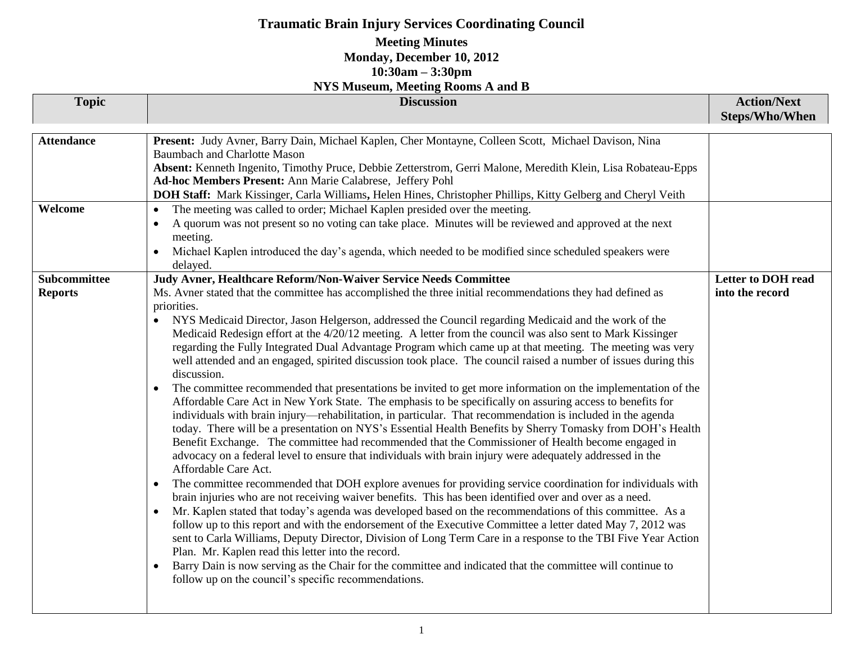## **Traumatic Brain Injury Services Coordinating Council**

### **Meeting Minutes Monday, December 10, 2012 10:30am – 3:30pm**

| <b>NYS Museum, Meeting Rooms A and B</b> |                                                                                                                                                                                                                                                                                                                                                                                                                                                                                                                                                                                                                                                                                                                                                                                                                                                                                                                                                                                                                                                                                                                                                                                                                                                                                                                                                                                                                                                                                                                                                                                                                                                                                                                                                                                                                                                                                                                                                                                                                                                                                                                                                                                                                                         |                                              |  |
|------------------------------------------|-----------------------------------------------------------------------------------------------------------------------------------------------------------------------------------------------------------------------------------------------------------------------------------------------------------------------------------------------------------------------------------------------------------------------------------------------------------------------------------------------------------------------------------------------------------------------------------------------------------------------------------------------------------------------------------------------------------------------------------------------------------------------------------------------------------------------------------------------------------------------------------------------------------------------------------------------------------------------------------------------------------------------------------------------------------------------------------------------------------------------------------------------------------------------------------------------------------------------------------------------------------------------------------------------------------------------------------------------------------------------------------------------------------------------------------------------------------------------------------------------------------------------------------------------------------------------------------------------------------------------------------------------------------------------------------------------------------------------------------------------------------------------------------------------------------------------------------------------------------------------------------------------------------------------------------------------------------------------------------------------------------------------------------------------------------------------------------------------------------------------------------------------------------------------------------------------------------------------------------------|----------------------------------------------|--|
| <b>Topic</b>                             | <b>Discussion</b>                                                                                                                                                                                                                                                                                                                                                                                                                                                                                                                                                                                                                                                                                                                                                                                                                                                                                                                                                                                                                                                                                                                                                                                                                                                                                                                                                                                                                                                                                                                                                                                                                                                                                                                                                                                                                                                                                                                                                                                                                                                                                                                                                                                                                       | <b>Action/Next</b><br><b>Steps/Who/When</b>  |  |
| <b>Attendance</b>                        | Present: Judy Avner, Barry Dain, Michael Kaplen, Cher Montayne, Colleen Scott, Michael Davison, Nina<br><b>Baumbach and Charlotte Mason</b><br>Absent: Kenneth Ingenito, Timothy Pruce, Debbie Zetterstrom, Gerri Malone, Meredith Klein, Lisa Robateau-Epps<br>Ad-hoc Members Present: Ann Marie Calabrese, Jeffery Pohl<br>DOH Staff: Mark Kissinger, Carla Williams, Helen Hines, Christopher Phillips, Kitty Gelberg and Cheryl Veith                                                                                                                                                                                                                                                                                                                                                                                                                                                                                                                                                                                                                                                                                                                                                                                                                                                                                                                                                                                                                                                                                                                                                                                                                                                                                                                                                                                                                                                                                                                                                                                                                                                                                                                                                                                               |                                              |  |
| Welcome                                  | The meeting was called to order; Michael Kaplen presided over the meeting.<br>$\bullet$<br>A quorum was not present so no voting can take place. Minutes will be reviewed and approved at the next<br>$\bullet$<br>meeting.<br>Michael Kaplen introduced the day's agenda, which needed to be modified since scheduled speakers were<br>$\bullet$<br>delayed.                                                                                                                                                                                                                                                                                                                                                                                                                                                                                                                                                                                                                                                                                                                                                                                                                                                                                                                                                                                                                                                                                                                                                                                                                                                                                                                                                                                                                                                                                                                                                                                                                                                                                                                                                                                                                                                                           |                                              |  |
| Subcommittee<br><b>Reports</b>           | Judy Avner, Healthcare Reform/Non-Waiver Service Needs Committee<br>Ms. Avner stated that the committee has accomplished the three initial recommendations they had defined as<br>priorities.<br>NYS Medicaid Director, Jason Helgerson, addressed the Council regarding Medicaid and the work of the<br>$\bullet$<br>Medicaid Redesign effort at the 4/20/12 meeting. A letter from the council was also sent to Mark Kissinger<br>regarding the Fully Integrated Dual Advantage Program which came up at that meeting. The meeting was very<br>well attended and an engaged, spirited discussion took place. The council raised a number of issues during this<br>discussion.<br>The committee recommended that presentations be invited to get more information on the implementation of the<br>$\bullet$<br>Affordable Care Act in New York State. The emphasis to be specifically on assuring access to benefits for<br>individuals with brain injury—rehabilitation, in particular. That recommendation is included in the agenda<br>today. There will be a presentation on NYS's Essential Health Benefits by Sherry Tomasky from DOH's Health<br>Benefit Exchange. The committee had recommended that the Commissioner of Health become engaged in<br>advocacy on a federal level to ensure that individuals with brain injury were adequately addressed in the<br>Affordable Care Act.<br>The committee recommended that DOH explore avenues for providing service coordination for individuals with<br>$\bullet$<br>brain injuries who are not receiving waiver benefits. This has been identified over and over as a need.<br>Mr. Kaplen stated that today's agenda was developed based on the recommendations of this committee. As a<br>$\bullet$<br>follow up to this report and with the endorsement of the Executive Committee a letter dated May 7, 2012 was<br>sent to Carla Williams, Deputy Director, Division of Long Term Care in a response to the TBI Five Year Action<br>Plan. Mr. Kaplen read this letter into the record.<br>Barry Dain is now serving as the Chair for the committee and indicated that the committee will continue to<br>$\bullet$<br>follow up on the council's specific recommendations. | <b>Letter to DOH read</b><br>into the record |  |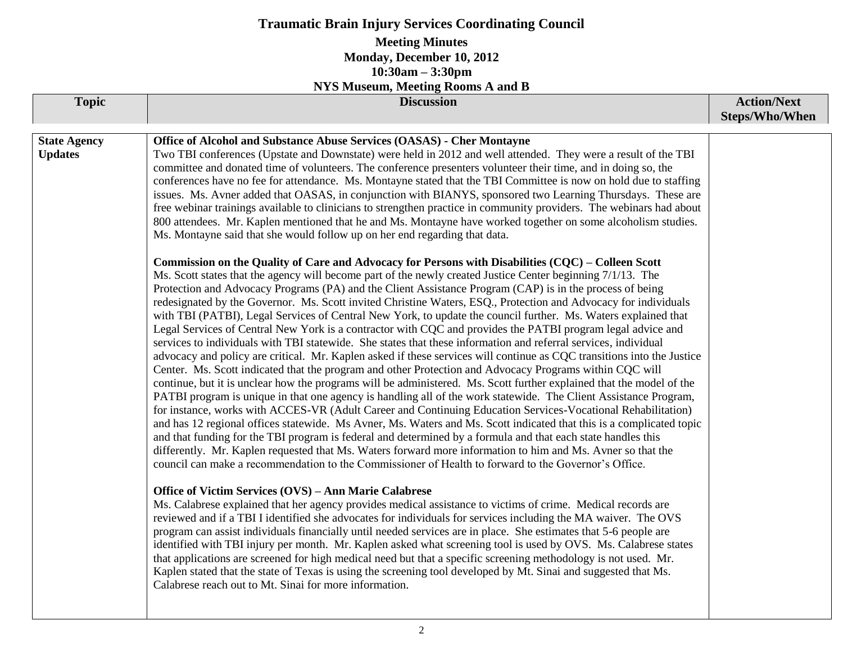# **Traumatic Brain Injury Services Coordinating Council**

#### **Meeting Minutes Monday, December 10, 2012 10:30am – 3:30pm**

**NYS Museum, Meeting Rooms A and B**

| <b>Topic</b>                          | 1110 Mascum, Mccung Rooms In and D<br><b>Discussion</b>                                                                                                                                                                                                                                                                                                                                                                                                                                                                                                                                                                                                                                                                                                                                                                                                                                                                                                                                                                                                                                                                                                                                                                                                                                                                                                                                                                                                                                                                                                                                                                                                                                                                                                                                                                                                                                                                                                                                                                                                                                                                                                                                                                                                                                                                                                                                                                                                                                                                                                                                                                                                                                                                                                                                                                                                                                                                                                                                                                                                                                                                                                                                                                                                                                                                                                                                                                                                                                                                                                                         | <b>Action/Next</b> |
|---------------------------------------|---------------------------------------------------------------------------------------------------------------------------------------------------------------------------------------------------------------------------------------------------------------------------------------------------------------------------------------------------------------------------------------------------------------------------------------------------------------------------------------------------------------------------------------------------------------------------------------------------------------------------------------------------------------------------------------------------------------------------------------------------------------------------------------------------------------------------------------------------------------------------------------------------------------------------------------------------------------------------------------------------------------------------------------------------------------------------------------------------------------------------------------------------------------------------------------------------------------------------------------------------------------------------------------------------------------------------------------------------------------------------------------------------------------------------------------------------------------------------------------------------------------------------------------------------------------------------------------------------------------------------------------------------------------------------------------------------------------------------------------------------------------------------------------------------------------------------------------------------------------------------------------------------------------------------------------------------------------------------------------------------------------------------------------------------------------------------------------------------------------------------------------------------------------------------------------------------------------------------------------------------------------------------------------------------------------------------------------------------------------------------------------------------------------------------------------------------------------------------------------------------------------------------------------------------------------------------------------------------------------------------------------------------------------------------------------------------------------------------------------------------------------------------------------------------------------------------------------------------------------------------------------------------------------------------------------------------------------------------------------------------------------------------------------------------------------------------------------------------------------------------------------------------------------------------------------------------------------------------------------------------------------------------------------------------------------------------------------------------------------------------------------------------------------------------------------------------------------------------------------------------------------------------------------------------------------------------------|--------------------|
|                                       |                                                                                                                                                                                                                                                                                                                                                                                                                                                                                                                                                                                                                                                                                                                                                                                                                                                                                                                                                                                                                                                                                                                                                                                                                                                                                                                                                                                                                                                                                                                                                                                                                                                                                                                                                                                                                                                                                                                                                                                                                                                                                                                                                                                                                                                                                                                                                                                                                                                                                                                                                                                                                                                                                                                                                                                                                                                                                                                                                                                                                                                                                                                                                                                                                                                                                                                                                                                                                                                                                                                                                                                 | Steps/Who/When     |
| <b>State Agency</b><br><b>Updates</b> | Office of Alcohol and Substance Abuse Services (OASAS) - Cher Montayne<br>Two TBI conferences (Upstate and Downstate) were held in 2012 and well attended. They were a result of the TBI<br>committee and donated time of volunteers. The conference presenters volunteer their time, and in doing so, the<br>conferences have no fee for attendance. Ms. Montayne stated that the TBI Committee is now on hold due to staffing<br>issues. Ms. Avner added that OASAS, in conjunction with BIANYS, sponsored two Learning Thursdays. These are<br>free webinar trainings available to clinicians to strengthen practice in community providers. The webinars had about<br>800 attendees. Mr. Kaplen mentioned that he and Ms. Montayne have worked together on some alcoholism studies.<br>Ms. Montayne said that she would follow up on her end regarding that data.<br>Commission on the Quality of Care and Advocacy for Persons with Disabilities (CQC) – Colleen Scott<br>Ms. Scott states that the agency will become part of the newly created Justice Center beginning 7/1/13. The<br>Protection and Advocacy Programs (PA) and the Client Assistance Program (CAP) is in the process of being<br>redesignated by the Governor. Ms. Scott invited Christine Waters, ESQ., Protection and Advocacy for individuals<br>with TBI (PATBI), Legal Services of Central New York, to update the council further. Ms. Waters explained that<br>Legal Services of Central New York is a contractor with CQC and provides the PATBI program legal advice and<br>services to individuals with TBI statewide. She states that these information and referral services, individual<br>advocacy and policy are critical. Mr. Kaplen asked if these services will continue as CQC transitions into the Justice<br>Center. Ms. Scott indicated that the program and other Protection and Advocacy Programs within CQC will<br>continue, but it is unclear how the programs will be administered. Ms. Scott further explained that the model of the<br>PATBI program is unique in that one agency is handling all of the work statewide. The Client Assistance Program,<br>for instance, works with ACCES-VR (Adult Career and Continuing Education Services-Vocational Rehabilitation)<br>and has 12 regional offices statewide. Ms Avner, Ms. Waters and Ms. Scott indicated that this is a complicated topic<br>and that funding for the TBI program is federal and determined by a formula and that each state handles this<br>differently. Mr. Kaplen requested that Ms. Waters forward more information to him and Ms. Avner so that the<br>council can make a recommendation to the Commissioner of Health to forward to the Governor's Office.<br>Office of Victim Services (OVS) - Ann Marie Calabrese<br>Ms. Calabrese explained that her agency provides medical assistance to victims of crime. Medical records are<br>reviewed and if a TBI I identified she advocates for individuals for services including the MA waiver. The OVS<br>program can assist individuals financially until needed services are in place. She estimates that 5-6 people are<br>identified with TBI injury per month. Mr. Kaplen asked what screening tool is used by OVS. Ms. Calabrese states<br>that applications are screened for high medical need but that a specific screening methodology is not used. Mr.<br>Kaplen stated that the state of Texas is using the screening tool developed by Mt. Sinai and suggested that Ms.<br>Calabrese reach out to Mt. Sinai for more information. |                    |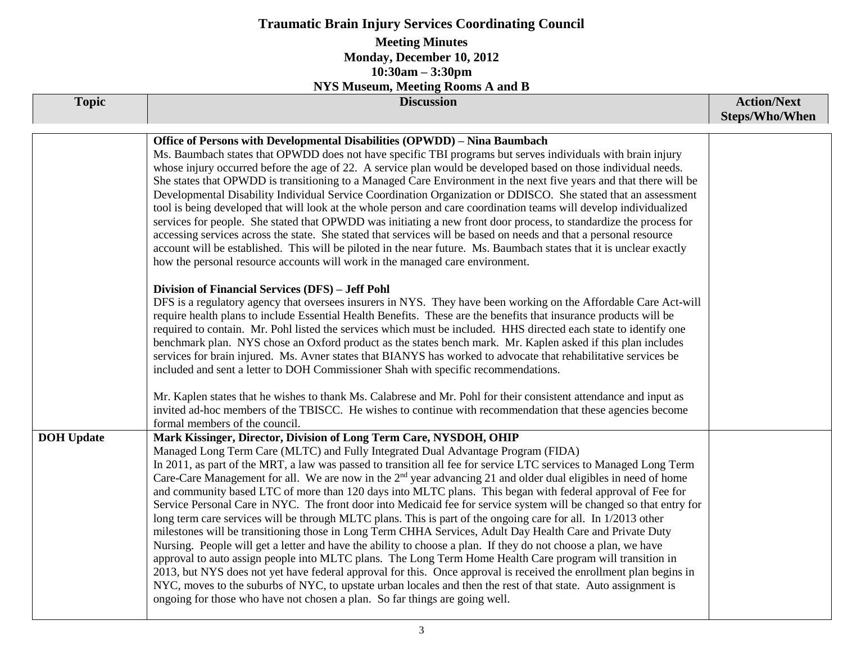| <b>Traumatic Brain Injury Services Coordinating Council</b>                                                           |                                                                                                                                                                                                                                                                                                                                                                                                                                                                                                                                                                                                                                                                                                                                                                                                                                                                                                                                                                                                                                                                                                                                                                                                                                                                                                                                                                                                                                                                                                                                                                                                                                                                                                                                                                                                                                                                                                                                                                                                                                                                                                                                              |                                             |  |  |
|-----------------------------------------------------------------------------------------------------------------------|----------------------------------------------------------------------------------------------------------------------------------------------------------------------------------------------------------------------------------------------------------------------------------------------------------------------------------------------------------------------------------------------------------------------------------------------------------------------------------------------------------------------------------------------------------------------------------------------------------------------------------------------------------------------------------------------------------------------------------------------------------------------------------------------------------------------------------------------------------------------------------------------------------------------------------------------------------------------------------------------------------------------------------------------------------------------------------------------------------------------------------------------------------------------------------------------------------------------------------------------------------------------------------------------------------------------------------------------------------------------------------------------------------------------------------------------------------------------------------------------------------------------------------------------------------------------------------------------------------------------------------------------------------------------------------------------------------------------------------------------------------------------------------------------------------------------------------------------------------------------------------------------------------------------------------------------------------------------------------------------------------------------------------------------------------------------------------------------------------------------------------------------|---------------------------------------------|--|--|
| <b>Meeting Minutes</b><br>Monday, December 10, 2012<br>$10:30am - 3:30pm$<br><b>NYS Museum, Meeting Rooms A and B</b> |                                                                                                                                                                                                                                                                                                                                                                                                                                                                                                                                                                                                                                                                                                                                                                                                                                                                                                                                                                                                                                                                                                                                                                                                                                                                                                                                                                                                                                                                                                                                                                                                                                                                                                                                                                                                                                                                                                                                                                                                                                                                                                                                              |                                             |  |  |
| <b>Topic</b>                                                                                                          | <b>Discussion</b>                                                                                                                                                                                                                                                                                                                                                                                                                                                                                                                                                                                                                                                                                                                                                                                                                                                                                                                                                                                                                                                                                                                                                                                                                                                                                                                                                                                                                                                                                                                                                                                                                                                                                                                                                                                                                                                                                                                                                                                                                                                                                                                            | <b>Action/Next</b><br><b>Steps/Who/When</b> |  |  |
|                                                                                                                       | Office of Persons with Developmental Disabilities (OPWDD) - Nina Baumbach<br>Ms. Baumbach states that OPWDD does not have specific TBI programs but serves individuals with brain injury<br>whose injury occurred before the age of 22. A service plan would be developed based on those individual needs.<br>She states that OPWDD is transitioning to a Managed Care Environment in the next five years and that there will be<br>Developmental Disability Individual Service Coordination Organization or DDISCO. She stated that an assessment<br>tool is being developed that will look at the whole person and care coordination teams will develop individualized<br>services for people. She stated that OPWDD was initiating a new front door process, to standardize the process for<br>accessing services across the state. She stated that services will be based on needs and that a personal resource<br>account will be established. This will be piloted in the near future. Ms. Baumbach states that it is unclear exactly<br>how the personal resource accounts will work in the managed care environment.<br>Division of Financial Services (DFS) - Jeff Pohl<br>DFS is a regulatory agency that oversees insurers in NYS. They have been working on the Affordable Care Act-will<br>require health plans to include Essential Health Benefits. These are the benefits that insurance products will be<br>required to contain. Mr. Pohl listed the services which must be included. HHS directed each state to identify one<br>benchmark plan. NYS chose an Oxford product as the states bench mark. Mr. Kaplen asked if this plan includes<br>services for brain injured. Ms. Avner states that BIANYS has worked to advocate that rehabilitative services be<br>included and sent a letter to DOH Commissioner Shah with specific recommendations.<br>Mr. Kaplen states that he wishes to thank Ms. Calabrese and Mr. Pohl for their consistent attendance and input as<br>invited ad-hoc members of the TBISCC. He wishes to continue with recommendation that these agencies become<br>formal members of the council. |                                             |  |  |
| <b>DOH</b> Update                                                                                                     | Mark Kissinger, Director, Division of Long Term Care, NYSDOH, OHIP<br>Managed Long Term Care (MLTC) and Fully Integrated Dual Advantage Program (FIDA)<br>In 2011, as part of the MRT, a law was passed to transition all fee for service LTC services to Managed Long Term<br>Care-Care Management for all. We are now in the $2nd$ year advancing 21 and older dual eligibles in need of home<br>and community based LTC of more than 120 days into MLTC plans. This began with federal approval of Fee for<br>Service Personal Care in NYC. The front door into Medicaid fee for service system will be changed so that entry for<br>long term care services will be through MLTC plans. This is part of the ongoing care for all. In 1/2013 other<br>milestones will be transitioning those in Long Term CHHA Services, Adult Day Health Care and Private Duty<br>Nursing. People will get a letter and have the ability to choose a plan. If they do not choose a plan, we have<br>approval to auto assign people into MLTC plans. The Long Term Home Health Care program will transition in<br>2013, but NYS does not yet have federal approval for this. Once approval is received the enrollment plan begins in<br>NYC, moves to the suburbs of NYC, to upstate urban locales and then the rest of that state. Auto assignment is<br>ongoing for those who have not chosen a plan. So far things are going well.                                                                                                                                                                                                                                                                                                                                                                                                                                                                                                                                                                                                                                                                                                                     |                                             |  |  |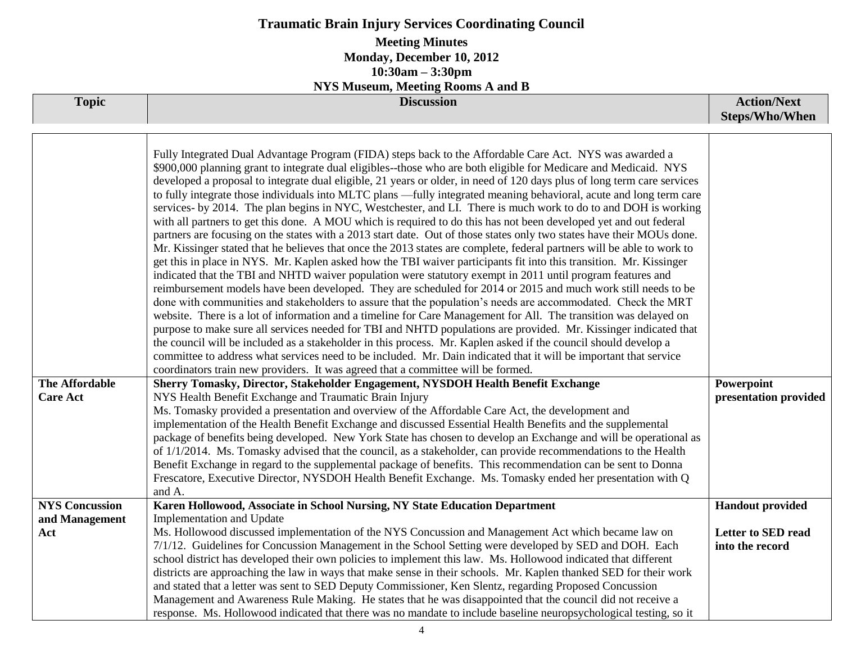| <b>Traumatic Brain Injury Services Coordinating Council</b>                                                           |                                                                                                                                                                                                                                                                                                                                                                                                                                                                                                                                                                                                                                                                                                                                                                                                                                                                                                                                                                                                                                                                                                                                                                                                                                                                                                                                                                                                                                                                                                                                                                                                                                                                                                                                                                                                                                                                                                                                                                                                                                                                                                                                                                                                                                                                                                                                                                                                                                                                                                      |                                             |  |  |
|-----------------------------------------------------------------------------------------------------------------------|------------------------------------------------------------------------------------------------------------------------------------------------------------------------------------------------------------------------------------------------------------------------------------------------------------------------------------------------------------------------------------------------------------------------------------------------------------------------------------------------------------------------------------------------------------------------------------------------------------------------------------------------------------------------------------------------------------------------------------------------------------------------------------------------------------------------------------------------------------------------------------------------------------------------------------------------------------------------------------------------------------------------------------------------------------------------------------------------------------------------------------------------------------------------------------------------------------------------------------------------------------------------------------------------------------------------------------------------------------------------------------------------------------------------------------------------------------------------------------------------------------------------------------------------------------------------------------------------------------------------------------------------------------------------------------------------------------------------------------------------------------------------------------------------------------------------------------------------------------------------------------------------------------------------------------------------------------------------------------------------------------------------------------------------------------------------------------------------------------------------------------------------------------------------------------------------------------------------------------------------------------------------------------------------------------------------------------------------------------------------------------------------------------------------------------------------------------------------------------------------------|---------------------------------------------|--|--|
| <b>Meeting Minutes</b><br>Monday, December 10, 2012<br>$10:30am - 3:30pm$<br><b>NYS Museum, Meeting Rooms A and B</b> |                                                                                                                                                                                                                                                                                                                                                                                                                                                                                                                                                                                                                                                                                                                                                                                                                                                                                                                                                                                                                                                                                                                                                                                                                                                                                                                                                                                                                                                                                                                                                                                                                                                                                                                                                                                                                                                                                                                                                                                                                                                                                                                                                                                                                                                                                                                                                                                                                                                                                                      |                                             |  |  |
| <b>Topic</b>                                                                                                          | <b>Discussion</b>                                                                                                                                                                                                                                                                                                                                                                                                                                                                                                                                                                                                                                                                                                                                                                                                                                                                                                                                                                                                                                                                                                                                                                                                                                                                                                                                                                                                                                                                                                                                                                                                                                                                                                                                                                                                                                                                                                                                                                                                                                                                                                                                                                                                                                                                                                                                                                                                                                                                                    | <b>Action/Next</b><br><b>Steps/Who/When</b> |  |  |
| <b>The Affordable</b><br><b>Care Act</b>                                                                              | Fully Integrated Dual Advantage Program (FIDA) steps back to the Affordable Care Act. NYS was awarded a<br>\$900,000 planning grant to integrate dual eligibles--those who are both eligible for Medicare and Medicaid. NYS<br>developed a proposal to integrate dual eligible, 21 years or older, in need of 120 days plus of long term care services<br>to fully integrate those individuals into MLTC plans -fully integrated meaning behavioral, acute and long term care<br>services- by 2014. The plan begins in NYC, Westchester, and LI. There is much work to do to and DOH is working<br>with all partners to get this done. A MOU which is required to do this has not been developed yet and out federal<br>partners are focusing on the states with a 2013 start date. Out of those states only two states have their MOUs done.<br>Mr. Kissinger stated that he believes that once the 2013 states are complete, federal partners will be able to work to<br>get this in place in NYS. Mr. Kaplen asked how the TBI waiver participants fit into this transition. Mr. Kissinger<br>indicated that the TBI and NHTD waiver population were statutory exempt in 2011 until program features and<br>reimbursement models have been developed. They are scheduled for 2014 or 2015 and much work still needs to be<br>done with communities and stakeholders to assure that the population's needs are accommodated. Check the MRT<br>website. There is a lot of information and a timeline for Care Management for All. The transition was delayed on<br>purpose to make sure all services needed for TBI and NHTD populations are provided. Mr. Kissinger indicated that<br>the council will be included as a stakeholder in this process. Mr. Kaplen asked if the council should develop a<br>committee to address what services need to be included. Mr. Dain indicated that it will be important that service<br>coordinators train new providers. It was agreed that a committee will be formed.<br>Sherry Tomasky, Director, Stakeholder Engagement, NYSDOH Health Benefit Exchange<br>NYS Health Benefit Exchange and Traumatic Brain Injury<br>Ms. Tomasky provided a presentation and overview of the Affordable Care Act, the development and<br>implementation of the Health Benefit Exchange and discussed Essential Health Benefits and the supplemental<br>package of benefits being developed. New York State has chosen to develop an Exchange and will be operational as | Powerpoint<br>presentation provided         |  |  |
|                                                                                                                       | of $1/1/2014$ . Ms. Tomasky advised that the council, as a stakeholder, can provide recommendations to the Health<br>Benefit Exchange in regard to the supplemental package of benefits. This recommendation can be sent to Donna<br>Frescatore, Executive Director, NYSDOH Health Benefit Exchange. Ms. Tomasky ended her presentation with Q<br>and A.                                                                                                                                                                                                                                                                                                                                                                                                                                                                                                                                                                                                                                                                                                                                                                                                                                                                                                                                                                                                                                                                                                                                                                                                                                                                                                                                                                                                                                                                                                                                                                                                                                                                                                                                                                                                                                                                                                                                                                                                                                                                                                                                             |                                             |  |  |
| <b>NYS Concussion</b><br>and Management                                                                               | Karen Hollowood, Associate in School Nursing, NY State Education Department<br>Implementation and Update                                                                                                                                                                                                                                                                                                                                                                                                                                                                                                                                                                                                                                                                                                                                                                                                                                                                                                                                                                                                                                                                                                                                                                                                                                                                                                                                                                                                                                                                                                                                                                                                                                                                                                                                                                                                                                                                                                                                                                                                                                                                                                                                                                                                                                                                                                                                                                                             | <b>Handout provided</b>                     |  |  |
| Act                                                                                                                   | Ms. Hollowood discussed implementation of the NYS Concussion and Management Act which became law on<br>7/1/12. Guidelines for Concussion Management in the School Setting were developed by SED and DOH. Each<br>school district has developed their own policies to implement this law. Ms. Hollowood indicated that different<br>districts are approaching the law in ways that make sense in their schools. Mr. Kaplen thanked SED for their work<br>and stated that a letter was sent to SED Deputy Commissioner, Ken Slentz, regarding Proposed Concussion<br>Management and Awareness Rule Making. He states that he was disappointed that the council did not receive a<br>response. Ms. Hollowood indicated that there was no mandate to include baseline neuropsychological testing, so it                                                                                                                                                                                                                                                                                                                                                                                                                                                                                                                                                                                                                                                                                                                                                                                                                                                                                                                                                                                                                                                                                                                                                                                                                                                                                                                                                                                                                                                                                                                                                                                                                                                                                                  | Letter to SED read<br>into the record       |  |  |